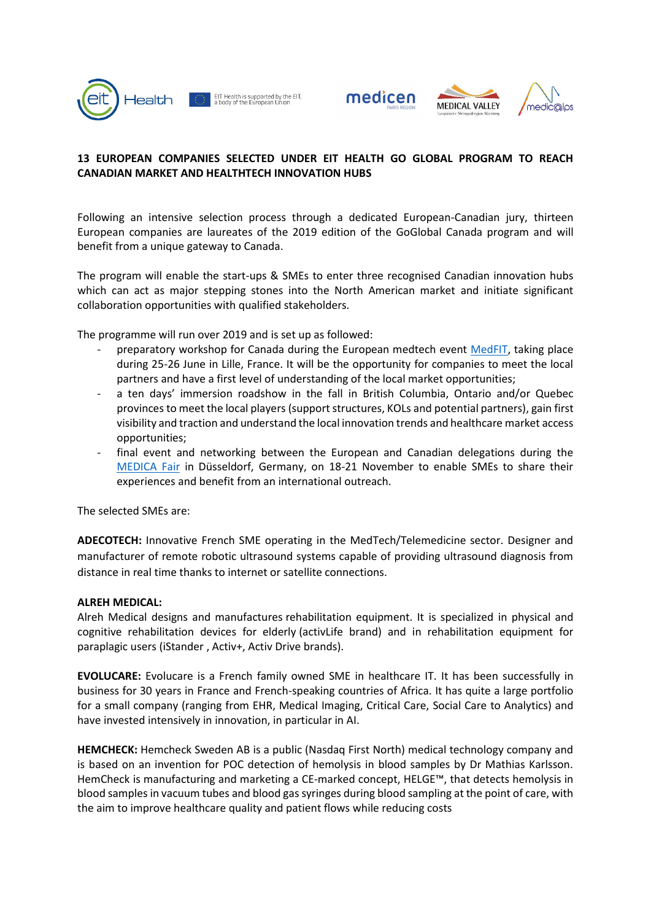



## **13 EUROPEAN COMPANIES SELECTED UNDER EIT HEALTH GO GLOBAL PROGRAM TO REACH CANADIAN MARKET AND HEALTHTECH INNOVATION HUBS**

Following an intensive selection process through a dedicated European-Canadian jury, thirteen European companies are laureates of the 2019 edition of the GoGlobal Canada program and will benefit from a unique gateway to Canada.

The program will enable the start-ups & SMEs to enter three recognised Canadian innovation hubs which can act as major stepping stones into the North American market and initiate significant collaboration opportunities with qualified stakeholders.

The programme will run over 2019 and is set up as followed:

- preparatory workshop for Canada during the European medtech event [MedFIT,](https://www.medfit-event.com/) taking place during 25-26 June in Lille, France. It will be the opportunity for companies to meet the local partners and have a first level of understanding of the local market opportunities;
- a ten days' immersion roadshow in the fall in British Columbia, Ontario and/or Quebec provinces to meet the local players (support structures, KOLs and potential partners), gain first visibility and traction and understand the local innovation trends and healthcare market access opportunities;
- final event and networking between the European and Canadian delegations during the [MEDICA Fair](https://www.medica-tradefair.com/en/Home/Home_MEDICA) in Düsseldorf, Germany, on 18-21 November to enable SMEs to share their experiences and benefit from an international outreach.

The selected SMEs are:

**ADECOTECH:** Innovative French SME operating in the MedTech/Telemedicine sector. Designer and manufacturer of remote robotic ultrasound systems capable of providing ultrasound diagnosis from distance in real time thanks to internet or satellite connections.

## **ALREH MEDICAL:**

Alreh Medical designs and manufactures rehabilitation equipment. It is specialized in physical and cognitive rehabilitation devices for elderly (activLife brand) and in rehabilitation equipment for paraplagic users (iStander , Activ+, Activ Drive brands).

**EVOLUCARE:** Evolucare is a French family owned SME in healthcare IT. It has been successfully in business for 30 years in France and French-speaking countries of Africa. It has quite a large portfolio for a small company (ranging from EHR, Medical Imaging, Critical Care, Social Care to Analytics) and have invested intensively in innovation, in particular in AI.

**HEMCHECK:** Hemcheck Sweden AB is a public (Nasdaq First North) medical technology company and is based on an invention for POC detection of hemolysis in blood samples by Dr Mathias Karlsson. HemCheck is manufacturing and marketing a CE-marked concept, HELGE™, that detects hemolysis in blood samples in vacuum tubes and blood gas syringes during blood sampling at the point of care, with the aim to improve healthcare quality and patient flows while reducing costs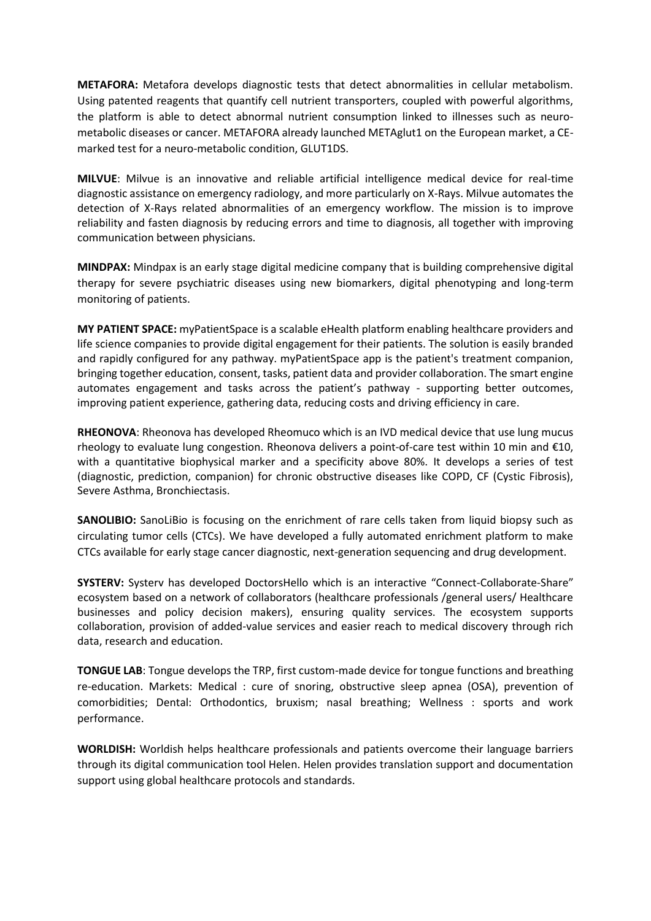**METAFORA:** Metafora develops diagnostic tests that detect abnormalities in cellular metabolism. Using patented reagents that quantify cell nutrient transporters, coupled with powerful algorithms, the platform is able to detect abnormal nutrient consumption linked to illnesses such as neurometabolic diseases or cancer. METAFORA already launched METAglut1 on the European market, a CEmarked test for a neuro-metabolic condition, GLUT1DS.

**MILVUE**: Milvue is an innovative and reliable artificial intelligence medical device for real-time diagnostic assistance on emergency radiology, and more particularly on X-Rays. Milvue automates the detection of X-Rays related abnormalities of an emergency workflow. The mission is to improve reliability and fasten diagnosis by reducing errors and time to diagnosis, all together with improving communication between physicians.

**MINDPAX:** Mindpax is an early stage digital medicine company that is building comprehensive digital therapy for severe psychiatric diseases using new biomarkers, digital phenotyping and long-term monitoring of patients.

**MY PATIENT SPACE:** myPatientSpace is a scalable eHealth platform enabling healthcare providers and life science companies to provide digital engagement for their patients. The solution is easily branded and rapidly configured for any pathway. myPatientSpace app is the patient's treatment companion, bringing together education, consent, tasks, patient data and provider collaboration. The smart engine automates engagement and tasks across the patient's pathway - supporting better outcomes, improving patient experience, gathering data, reducing costs and driving efficiency in care.

**RHEONOVA**: Rheonova has developed Rheomuco which is an IVD medical device that use lung mucus rheology to evaluate lung congestion. Rheonova delivers a point-of-care test within 10 min and €10, with a quantitative biophysical marker and a specificity above 80%. It develops a series of test (diagnostic, prediction, companion) for chronic obstructive diseases like COPD, CF (Cystic Fibrosis), Severe Asthma, Bronchiectasis.

**SANOLIBIO:** SanoLiBio is focusing on the enrichment of rare cells taken from liquid biopsy such as circulating tumor cells (CTCs). We have developed a fully automated enrichment platform to make CTCs available for early stage cancer diagnostic, next-generation sequencing and drug development.

**SYSTERV:** Systerv has developed DoctorsHello which is an interactive "Connect-Collaborate-Share" ecosystem based on a network of collaborators (healthcare professionals /general users/ Healthcare businesses and policy decision makers), ensuring quality services. The ecosystem supports collaboration, provision of added-value services and easier reach to medical discovery through rich data, research and education.

**TONGUE LAB**: Tongue develops the TRP, first custom-made device for tongue functions and breathing re-education. Markets: Medical : cure of snoring, obstructive sleep apnea (OSA), prevention of comorbidities; Dental: Orthodontics, bruxism; nasal breathing; Wellness : sports and work performance.

**WORLDISH:** Worldish helps healthcare professionals and patients overcome their language barriers through its digital communication tool Helen. Helen provides translation support and documentation support using global healthcare protocols and standards.